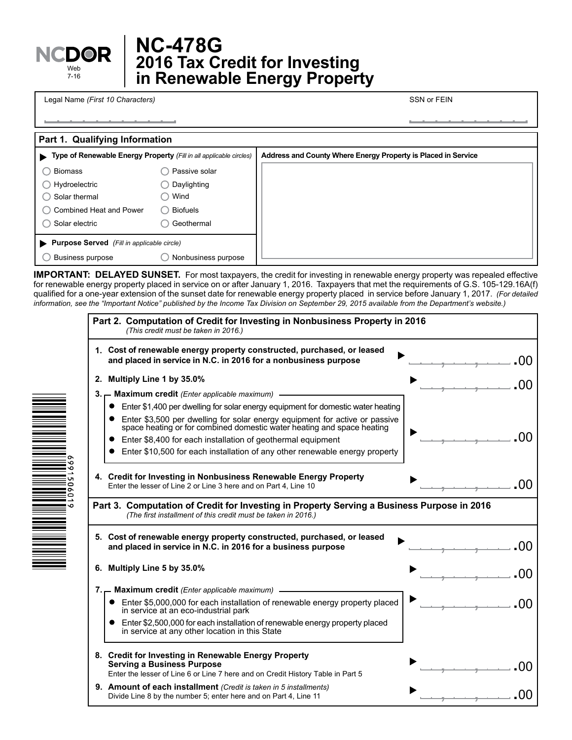

۰ō

 $\frac{6}{1}$ 

## **2016 Tax Credit for Investing in Renewable Energy Property NC-478G**

Legal Name *(First 10 Characters)* SSN or FEIN

**Part 1. Qualifying Information Type of Renewable Energy Property** *(Fill in all applicable circles)* **Purpose Served** *(Fill in applicable circle)*  $\bigcirc$  Business purpose  $\bigcirc$  Nonbusiness purpose  $\bigcirc$  Combined Heat and Power  $\bigcirc$  Biofuels  $\bigcirc$  Solar thermal  $\bigcirc$  Wind ◯ Biomass and Passive solar Solar electric Geothermal ◯ Hydroelectric Q Daylighting **Address and County Where Energy Property is Placed in Service**

**IMPORTANT: DELAYED SUNSET.** For most taxpayers, the credit for investing in renewable energy property was repealed effective for renewable energy property placed in service on or after January 1, 2016. Taxpayers that met the requirements of G.S. 105-129.16A(f) qualified for a one-year extension of the sunset date for renewable energy property placed in service before January 1, 2017. *(For detailed information, see the "Important Notice" published by the Income Tax Division on September 29, 2015 available from the Department's website.)*